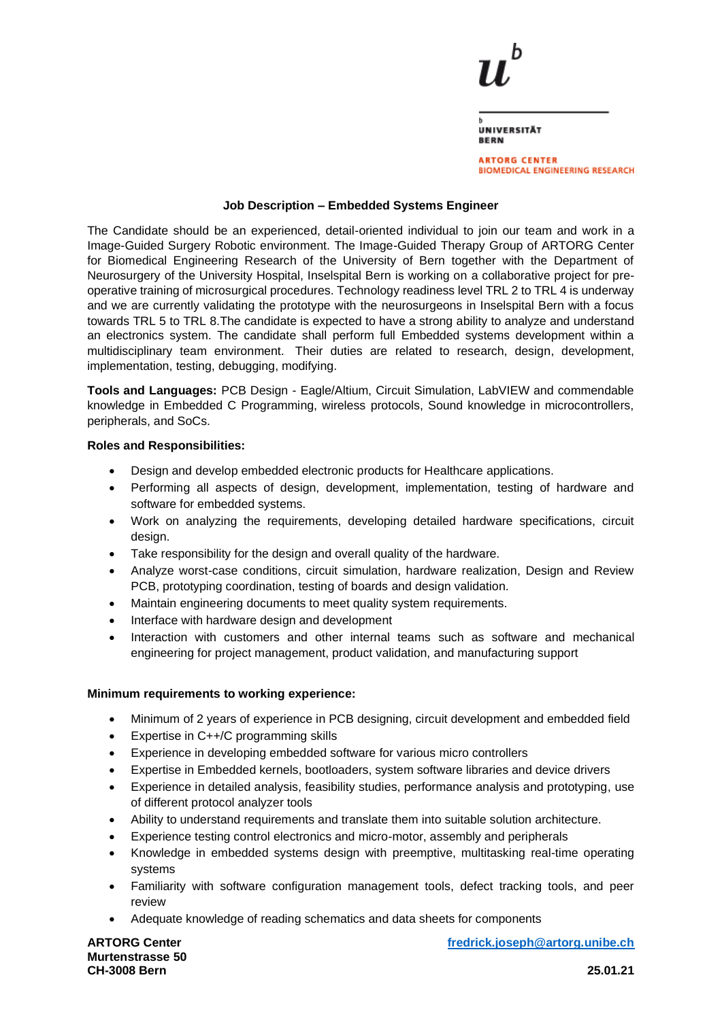| UNIVERSITÄT<br><b>BERN</b> |  |
|----------------------------|--|

**ARTORG CENTER BIOMEDICAL ENGINEERING RESEARCH** 

# **Job Description – Embedded Systems Engineer**

The Candidate should be an experienced, detail-oriented individual to join our team and work in a Image-Guided Surgery Robotic environment. The Image-Guided Therapy Group of ARTORG Center for Biomedical Engineering Research of the University of Bern together with the Department of Neurosurgery of the University Hospital, Inselspital Bern is working on a collaborative project for preoperative training of microsurgical procedures. Technology readiness level TRL 2 to TRL 4 is underway and we are currently validating the prototype with the neurosurgeons in Inselspital Bern with a focus towards TRL 5 to TRL 8.The candidate is expected to have a strong ability to analyze and understand an electronics system. The candidate shall perform full Embedded systems development within a multidisciplinary team environment. Their duties are related to research, design, development, implementation, testing, debugging, modifying.

**Tools and Languages:** PCB Design - Eagle/Altium, Circuit Simulation, LabVIEW and commendable knowledge in Embedded C Programming, wireless protocols, Sound knowledge in microcontrollers, peripherals, and SoCs.

## **Roles and Responsibilities:**

- Design and develop embedded electronic products for Healthcare applications.
- Performing all aspects of design, development, implementation, testing of hardware and software for embedded systems.
- Work on analyzing the requirements, developing detailed hardware specifications, circuit design.
- Take responsibility for the design and overall quality of the hardware.
- Analyze worst-case conditions, circuit simulation, hardware realization, Design and Review PCB, prototyping coordination, testing of boards and design validation.
- Maintain engineering documents to meet quality system requirements.
- Interface with hardware design and development
- Interaction with customers and other internal teams such as software and mechanical engineering for project management, product validation, and manufacturing support

### **Minimum requirements to working experience:**

- Minimum of 2 years of experience in PCB designing, circuit development and embedded field
- Expertise in C++/C programming skills
- Experience in developing embedded software for various micro controllers
- Expertise in Embedded kernels, bootloaders, system software libraries and device drivers
- Experience in detailed analysis, feasibility studies, performance analysis and prototyping, use of different protocol analyzer tools
- Ability to understand requirements and translate them into suitable solution architecture.
- Experience testing control electronics and micro-motor, assembly and peripherals
- Knowledge in embedded systems design with preemptive, multitasking real-time operating systems
- Familiarity with software configuration management tools, defect tracking tools, and peer review
- Adequate knowledge of reading schematics and data sheets for components

**Murtenstrasse 50 CH-3008 Bern 25.01.21**

**ARTORG Center [fredrick.joseph@artorg.unibe.ch](mailto:fredrick.joseph@artorg.unibe.ch)**